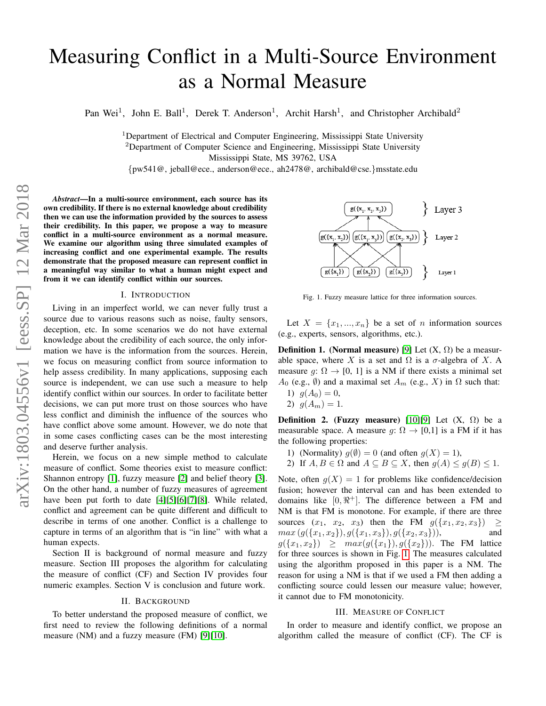# Measuring Conflict in a Multi-Source Environment as a Normal Measure

Pan Wei<sup>1</sup>, John E. Ball<sup>1</sup>, Derek T. Anderson<sup>1</sup>, Archit Harsh<sup>1</sup>, and Christopher Archibald<sup>2</sup>

<sup>1</sup>Department of Electrical and Computer Engineering, Mississippi State University  $2$ Department of Computer Science and Engineering, Mississippi State University Mississippi State, MS 39762, USA

{pw541@, jeball@ece., anderson@ece., ah2478@, archibald@cse.}msstate.edu

*Abstract*—In a multi-source environment, each source has its own credibility. If there is no external knowledge about credibility then we can use the information provided by the sources to assess their credibility. In this paper, we propose a way to measure conflict in a multi-source environment as a normal measure. We examine our algorithm using three simulated examples of increasing conflict and one experimental example. The results demonstrate that the proposed measure can represent conflict in a meaningful way similar to what a human might expect and from it we can identify conflict within our sources.

## I. INTRODUCTION

Living in an imperfect world, we can never fully trust a source due to various reasons such as noise, faulty sensors, deception, etc. In some scenarios we do not have external knowledge about the credibility of each source, the only information we have is the information from the sources. Herein, we focus on measuring conflict from source information to help assess credibility. In many applications, supposing each source is independent, we can use such a measure to help identify conflict within our sources. In order to facilitate better decisions, we can put more trust on those sources who have less conflict and diminish the influence of the sources who have conflict above some amount. However, we do note that in some cases conflicting cases can be the most interesting and deserve further analysis.

Herein, we focus on a new simple method to calculate measure of conflict. Some theories exist to measure conflict: Shannon entropy [\[1\]](#page-3-0), fuzzy measure [\[2\]](#page-3-1) and belief theory [\[3\]](#page-3-2). On the other hand, a number of fuzzy measures of agreement have been put forth to date [\[4\]](#page-3-3)[\[5\]](#page-3-4)[\[6\]](#page-3-5)[\[7\]](#page-3-6)[\[8\]](#page-3-7). While related, conflict and agreement can be quite different and difficult to describe in terms of one another. Conflict is a challenge to capture in terms of an algorithm that is "in line" with what a human expects.

Section II is background of normal measure and fuzzy measure. Section III proposes the algorithm for calculating the measure of conflict (CF) and Section IV provides four numeric examples. Section V is conclusion and future work.

#### II. BACKGROUND

To better understand the proposed measure of conflict, we first need to review the following definitions of a normal measure (NM) and a fuzzy measure (FM) [\[9\]](#page-3-8)[\[10\]](#page-3-9).



<span id="page-0-0"></span>Fig. 1. Fuzzy measure lattice for three information sources.

Let  $X = \{x_1, ..., x_n\}$  be a set of n information sources (e.g., experts, sensors, algorithms, etc.).

**Definition 1.** (Normal measure) [\[9\]](#page-3-8) Let  $(X, \Omega)$  be a measurable space, where X is a set and  $\Omega$  is a  $\sigma$ -algebra of X. A measure  $g: \Omega \to [0, 1]$  is a NM if there exists a minimal set  $A_0$  (e.g.,  $\emptyset$ ) and a maximal set  $A_m$  (e.g., X) in  $\Omega$  such that:

- 1)  $g(A_0) = 0$ ,
- 2)  $q(A_m) = 1$ .

Definition 2. (Fuzzy measure) [\[10\]](#page-3-9)[\[9\]](#page-3-8) Let  $(X, \Omega)$  be a measurable space. A measure  $g: \Omega \to [0,1]$  is a FM if it has the following properties:

- 1) (Normality)  $q(\emptyset) = 0$  (and often  $q(X) = 1$ ),
- 2) If  $A, B \in \Omega$  and  $A \subseteq B \subseteq X$ , then  $g(A) \le g(B) \le 1$ .

Note, often  $g(X) = 1$  for problems like confidence/decision fusion; however the interval can and has been extended to domains like  $[0, \Re^+]$ . The difference between a FM and NM is that FM is monotone. For example, if there are three sources  $(x_1, x_2, x_3)$  then the FM  $g(\lbrace x_1, x_2, x_3 \rbrace) \ge$  $max(g({x_1,x_2}),g({x_1,x_3}),g({x_2,x_3})),$  and  $g({x_1, x_2}) \geq max(g({x_1}), g({x_2})).$  The FM lattice for three sources is shown in Fig. [1.](#page-0-0) The measures calculated using the algorithm proposed in this paper is a NM. The reason for using a NM is that if we used a FM then adding a conflicting source could lessen our measure value; however, it cannot due to FM monotonicity.

#### III. MEASURE OF CONFLICT

In order to measure and identify conflict, we propose an algorithm called the measure of conflict (CF). The CF is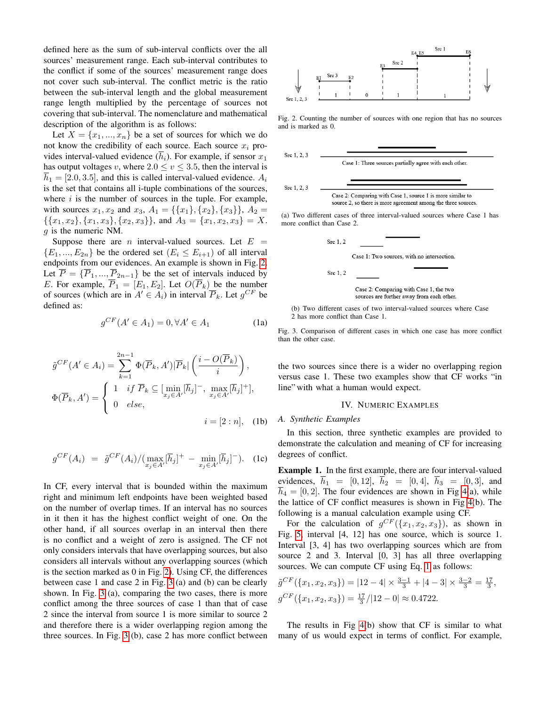defined here as the sum of sub-interval conflicts over the all sources' measurement range. Each sub-interval contributes to the conflict if some of the sources' measurement range does not cover such sub-interval. The conflict metric is the ratio between the sub-interval length and the global measurement range length multiplied by the percentage of sources not covering that sub-interval. The nomenclature and mathematical description of the algorithm is as follows:

Let  $X = \{x_1, ..., x_n\}$  be a set of sources for which we do not know the credibility of each source. Each source  $x_i$  provides interval-valued evidence  $(\overline{h}_i)$ . For example, if sensor  $x_1$ has output voltages v, where  $2.0 \le v \le 3.5$ , then the interval is  $\overline{h}_1 = [2.0, 3.5]$ , and this is called interval-valued evidence.  $A_i$ is the set that contains all i-tuple combinations of the sources, where  $i$  is the number of sources in the tuple. For example, with sources  $x_1, x_2$  and  $x_3, A_1 = \{\{x_1\}, \{x_2\}, \{x_3\}\}\$ ,  $A_2 =$  $\{\{x_1, x_2\}, \{x_1, x_3\}, \{x_2, x_3\}\}\$ , and  $A_3 = \{x_1, x_2, x_3\} = X$ . g is the numeric NM.

Suppose there are *n* interval-valued sources. Let  $E =$  ${E_1, ..., E_{2n}}$  be the ordered set  $(E_i \le E_{i+1})$  of all interval endpoints from our evidences. An example is shown in Fig. [2.](#page-1-0) Let  $\overline{P} = {\overline{P_1}, ..., \overline{P_{2n-1}}}$  be the set of intervals induced by E. For example,  $\overline{P}_1 = [E_1, E_2]$ . Let  $O(\overline{P}_k)$  be the number of sources (which are in  $A' \in A_i$ ) in interval  $\overline{P}_k$ . Let  $g^{CF}$  be defined as:

$$
g^{CF}(A' \in A_1) = 0, \forall A' \in A_1
$$
 (1a)

$$
\tilde{g}^{CF}(A' \in A_i) = \sum_{k=1}^{2n-1} \Phi(\overline{P}_k, A') |\overline{P}_k| \left( \frac{i - O(\overline{P}_k)}{i} \right),
$$
  

$$
\Phi(\overline{P}_k, A') = \begin{cases} 1 & \text{if } \overline{P}_k \subseteq [\min_{x_j \in A'}[\overline{h}_j]^-, \max_{x_j \in A'}[\overline{h}_j]^+], \\ 0 & \text{else}, \end{cases}
$$
  

$$
i = [2 : n], \quad (1b)
$$

$$
g^{CF}(A_i) = \tilde{g}^{CF}(A_i) / (\max_{x_j \in A'} [\bar{h}_j]^+ - \min_{x_j \in A'} [\bar{h}_j]^-). \quad (1c)
$$

In CF, every interval that is bounded within the maximum right and minimum left endpoints have been weighted based on the number of overlap times. If an interval has no sources in it then it has the highest conflict weight of one. On the other hand, if all sources overlap in an interval then there is no conflict and a weight of zero is assigned. The CF not only considers intervals that have overlapping sources, but also considers all intervals without any overlapping sources (which is the section marked as 0 in Fig. [2\)](#page-1-0). Using CF, the differences between case 1 and case 2 in Fig. [3](#page-1-1) (a) and (b) can be clearly shown. In Fig. [3](#page-1-1) (a), comparing the two cases, there is more conflict among the three sources of case 1 than that of case 2 since the interval from source 1 is more similar to source 2 and therefore there is a wider overlapping region among the three sources. In Fig. [3](#page-1-1) (b), case 2 has more conflict between



<span id="page-1-0"></span>Fig. 2. Counting the number of sources with one region that has no sources and is marked as 0.



(a) Two different cases of three interval-valued sources where Case 1 has more conflict than Case 2.



<span id="page-1-1"></span>(b) Two different cases of two interval-valued sources where Case 2 has more conflict than Case 1.

Fig. 3. Comparison of different cases in which one case has more conflict than the other case.

the two sources since there is a wider no overlapping region versus case 1. These two examples show that CF works "in line" with what a human would expect.

## IV. NUMERIC EXAMPLES

### *A. Synthetic Examples*

In this section, three synthetic examples are provided to demonstrate the calculation and meaning of CF for increasing degrees of conflict.

<span id="page-1-2"></span>Example 1. In the first example, there are four interval-valued evidences,  $\overline{h}_1 = [0, 12], \overline{h}_2 = [0, 4], \overline{h}_3 = [0, 3],$  and  $h_4 = [0, 2]$ . The four evidences are shown in Fig [4\(](#page-2-0)a), while the lattice of CF conflict measures is shown in Fig [4\(](#page-2-0)b). The following is a manual calculation example using CF.

For the calculation of  $g^{CF}(\lbrace x_1, x_2, x_3 \rbrace)$ , as shown in Fig. [5,](#page-2-1) interval [4, 12] has one source, which is source 1. Interval [3, 4] has two overlapping sources which are from source 2 and 3. Interval [0, 3] has all three overlapping sources. We can compute CF using Eq. [1](#page-1-2) as follows:

$$
\tilde{g}^{CF}(\lbrace x_1, x_2, x_3 \rbrace) = |12 - 4| \times \frac{3 - 1}{3} + |4 - 3| \times \frac{3 - 2}{3} = \frac{17}{3},
$$
  

$$
g^{CF}(\lbrace x_1, x_2, x_3 \rbrace) = \frac{17}{3} / |12 - 0| \approx 0.4722.
$$

The results in Fig [4\(](#page-2-0)b) show that CF is similar to what many of us would expect in terms of conflict. For example,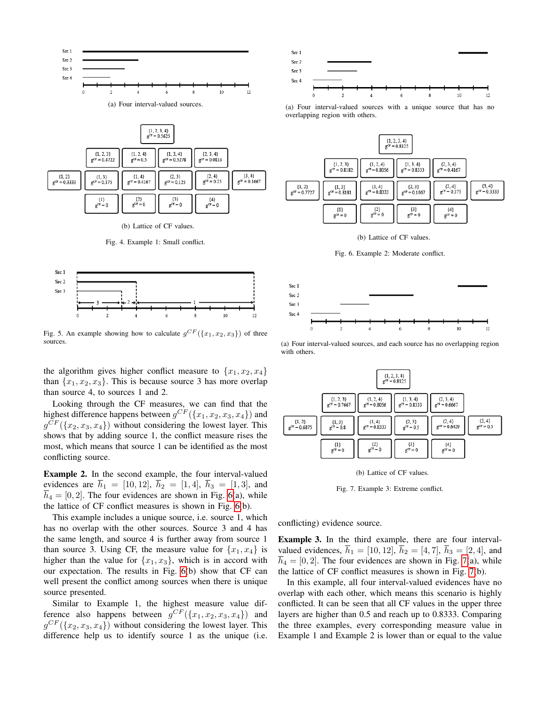

| (b) Lattice of CF values. |  |  |
|---------------------------|--|--|

 ${3 \choose 3}$ <br>g<sup>CF</sup> = 0

 $g<sup>CF</sup> = 0$ 

 $g^{(2)} = 0$ 

 ${1}$ <br>g<sup>CF</sup> = 0

<span id="page-2-0"></span>Fig. 4. Example 1: Small conflict.



<span id="page-2-1"></span>Fig. 5. An example showing how to calculate  $g^{CF}(\lbrace x_1, x_2, x_3 \rbrace)$  of three sources.

the algorithm gives higher conflict measure to  $\{x_1, x_2, x_4\}$ than  $\{x_1, x_2, x_3\}$ . This is because source 3 has more overlap than source 4, to sources 1 and 2.

Looking through the CF measures, we can find that the highest difference happens between  $g^{CF}(\lbrace x_1, x_2, x_3, x_4 \rbrace)$  and  $g^{CF}(\lbrace x_2, x_3, x_4 \rbrace)$  without considering the lowest layer. This shows that by adding source 1, the conflict measure rises the most, which means that source 1 can be identified as the most conflicting source.

Example 2. In the second example, the four interval-valued evidences are  $\bar{h}_1 = [10, 12], \bar{h}_2 = [1, 4], \bar{h}_3 = [1, 3],$  and  $\overline{h}_4 = [0, 2]$ . The four evidences are shown in Fig. [6\(](#page-2-2)a), while the lattice of CF conflict measures is shown in Fig. [6\(](#page-2-2)b).

This example includes a unique source, i.e. source 1, which has no overlap with the other sources. Source 3 and 4 has the same length, and source 4 is further away from source 1 than source 3. Using CF, the measure value for  $\{x_1, x_4\}$  is higher than the value for  $\{x_1, x_3\}$ , which is in accord with our expectation. The results in Fig. [6\(](#page-2-2)b) show that CF can well present the conflict among sources when there is unique source presented.

Similar to Example 1, the highest measure value difference also happens between  $g^{CF}(\lbrace x_1, x_2, x_3, x_4 \rbrace)$  and  $g^{CF}(\lbrace x_2, x_3, x_4 \rbrace)$  without considering the lowest layer. This difference help us to identify source 1 as the unique (i.e.



(a) Four interval-valued sources with a unique source that has no overlapping region with others.



<span id="page-2-2"></span>(b) Lattice of CF values.

Fig. 6. Example 2: Moderate conflict.



(a) Four interval-valued sources, and each source has no overlapping region with others.



<span id="page-2-3"></span>(b) Lattice of CF values.

Fig. 7. Example 3: Extreme conflict.

conflicting) evidence source.

Example 3. In the third example, there are four intervalvalued evidences,  $\bar{h}_1 = [10, 12], \bar{h}_2 = [4, 7], \bar{h}_3 = [2, 4],$  and  $\overline{h}_4 = [0, 2]$ . The four evidences are shown in Fig. [7\(](#page-2-3)a), while the lattice of CF conflict measures is shown in Fig. [7\(](#page-2-3)b).

In this example, all four interval-valued evidences have no overlap with each other, which means this scenario is highly conflicted. It can be seen that all CF values in the upper three layers are higher than 0.5 and reach up to 0.8333. Comparing the three examples, every corresponding measure value in Example 1 and Example 2 is lower than or equal to the value